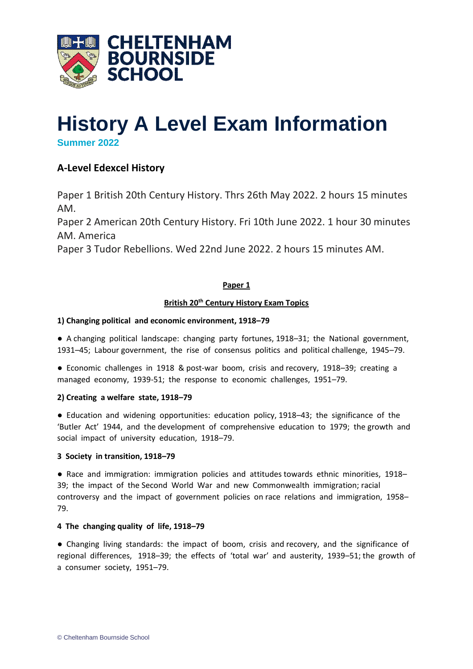

# **History A Level Exam Information Summer 2022**

## **A-Level Edexcel History**

Paper 1 British 20th Century History. Thrs 26th May 2022. 2 hours 15 minutes AM.

Paper 2 American 20th Century History. Fri 10th June 2022. 1 hour 30 minutes AM. America

Paper 3 Tudor Rebellions. Wed 22nd June 2022. 2 hours 15 minutes AM.

## **Paper 1**

## **British 20th Century History Exam Topics**

## **1) Changing political and economic environment, 1918–79**

● A changing political landscape: changing party fortunes, 1918–31; the National government, 1931–45; Labour government, the rise of consensus politics and political challenge, 1945–79.

● Economic challenges in 1918 & post-war boom, crisis and recovery, 1918–39; creating a managed economy, 1939-51; the response to economic challenges, 1951–79.

## **2) Creating a welfare state, 1918–79**

● Education and widening opportunities: education policy, 1918–43; the significance of the 'Butler Act' 1944, and the development of comprehensive education to 1979; the growth and social impact of university education, 1918–79.

## **3 Society in transition, 1918–79**

● Race and immigration: immigration policies and attitudes towards ethnic minorities, 1918– 39; the impact of the Second World War and new Commonwealth immigration; racial controversy and the impact of government policies on race relations and immigration, 1958– 79.

## **4 The changing quality of life, 1918–79**

● Changing living standards: the impact of boom, crisis and recovery, and the significance of regional differences, 1918–39; the effects of 'total war' and austerity, 1939–51; the growth of a consumer society, 1951–79.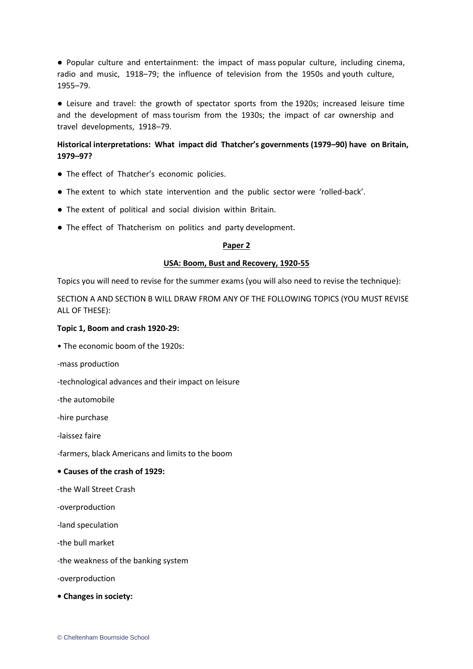● Popular culture and entertainment: the impact of mass popular culture, including cinema, radio and music, 1918–79; the influence of television from the 1950s and youth culture, 1955–79.

● Leisure and travel: the growth of spectator sports from the 1920s; increased leisure time and the development of mass tourism from the 1930s; the impact of car ownership and travel developments, 1918–79.

## **Historical interpretations: What impact did Thatcher's governments (1979–90) have on Britain, 1979–97?**

- The effect of Thatcher's economic policies.
- The extent to which state intervention and the public sector were 'rolled-back'.
- The extent of political and social division within Britain.
- The effect of Thatcherism on politics and party development.

#### **Paper 2**

#### **USA: Boom, Bust and Recovery, 1920-55**

Topics you will need to revise for the summer exams (you will also need to revise the technique):

SECTION A AND SECTION B WILL DRAW FROM ANY OF THE FOLLOWING TOPICS (YOU MUST REVISE ALL OF THESE):

#### **Topic 1, Boom and crash 1920-29:**

• The economic boom of the 1920s:

-mass production

-technological advances and their impact on leisure

-the automobile

-hire purchase

-laissez faire

-farmers, black Americans and limits to the boom

#### **• Causes of the crash of 1929:**

-the Wall Street Crash

-overproduction

-land speculation

-the bull market

-the weakness of the banking system

-overproduction

**• Changes in society:**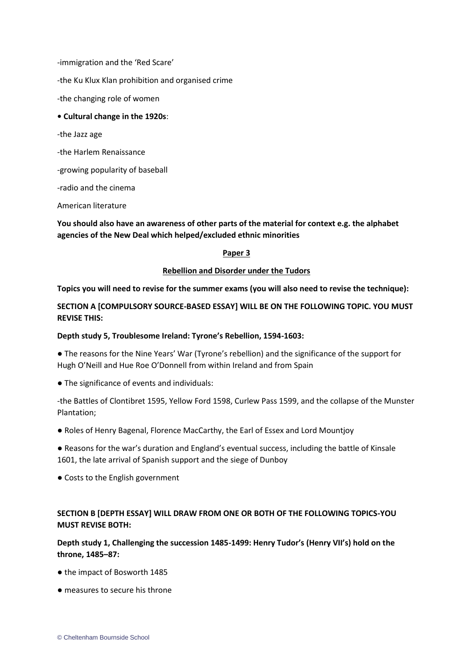-immigration and the 'Red Scare'

-the Ku Klux Klan prohibition and organised crime

-the changing role of women

#### **• Cultural change in the 1920s**:

-the Jazz age

-the Harlem Renaissance

-growing popularity of baseball

-radio and the cinema

American literature

**You should also have an awareness of other parts of the material for context e.g. the alphabet agencies of the New Deal which helped/excluded ethnic minorities**

#### **Paper 3**

#### **Rebellion and Disorder under the Tudors**

**Topics you will need to revise for the summer exams (you will also need to revise the technique):**

## **SECTION A [COMPULSORY SOURCE-BASED ESSAY] WILL BE ON THE FOLLOWING TOPIC. YOU MUST REVISE THIS:**

### **Depth study 5, Troublesome Ireland: Tyrone's Rebellion, 1594-1603:**

● The reasons for the Nine Years' War (Tyrone's rebellion) and the significance of the support for Hugh O'Neill and Hue Roe O'Donnell from within Ireland and from Spain

• The significance of events and individuals:

-the Battles of Clontibret 1595, Yellow Ford 1598, Curlew Pass 1599, and the collapse of the Munster Plantation;

- Roles of Henry Bagenal, Florence MacCarthy, the Earl of Essex and Lord Mountjoy
- Reasons for the war's duration and England's eventual success, including the battle of Kinsale 1601, the late arrival of Spanish support and the siege of Dunboy
- Costs to the English government

## **SECTION B [DEPTH ESSAY] WILL DRAW FROM ONE OR BOTH OF THE FOLLOWING TOPICS-YOU MUST REVISE BOTH:**

**Depth study 1, Challenging the succession 1485-1499: Henry Tudor's (Henry VII's) hold on the throne, 1485–87:**

- the impact of Bosworth 1485
- measures to secure his throne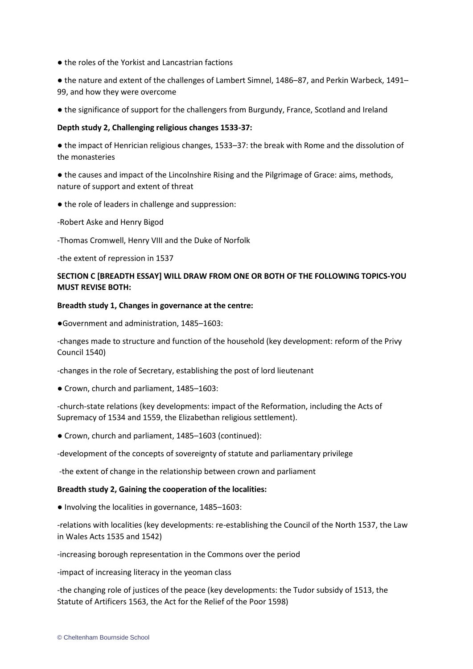● the roles of the Yorkist and Lancastrian factions

● the nature and extent of the challenges of Lambert Simnel, 1486–87, and Perkin Warbeck, 1491– 99, and how they were overcome

● the significance of support for the challengers from Burgundy, France, Scotland and Ireland

## **Depth study 2, Challenging religious changes 1533-37:**

● the impact of Henrician religious changes, 1533–37: the break with Rome and the dissolution of the monasteries

● the causes and impact of the Lincolnshire Rising and the Pilgrimage of Grace: aims, methods, nature of support and extent of threat

- the role of leaders in challenge and suppression:
- -Robert Aske and Henry Bigod

-Thomas Cromwell, Henry VIII and the Duke of Norfolk

-the extent of repression in 1537

## **SECTION C [BREADTH ESSAY] WILL DRAW FROM ONE OR BOTH OF THE FOLLOWING TOPICS-YOU MUST REVISE BOTH:**

## **Breadth study 1, Changes in governance at the centre:**

●Government and administration, 1485–1603:

-changes made to structure and function of the household (key development: reform of the Privy Council 1540)

-changes in the role of Secretary, establishing the post of lord lieutenant

● Crown, church and parliament, 1485–1603:

-church-state relations (key developments: impact of the Reformation, including the Acts of Supremacy of 1534 and 1559, the Elizabethan religious settlement).

● Crown, church and parliament, 1485–1603 (continued):

-development of the concepts of sovereignty of statute and parliamentary privilege

-the extent of change in the relationship between crown and parliament

## **Breadth study 2, Gaining the cooperation of the localities:**

● Involving the localities in governance, 1485–1603:

-relations with localities (key developments: re-establishing the Council of the North 1537, the Law in Wales Acts 1535 and 1542)

-increasing borough representation in the Commons over the period

-impact of increasing literacy in the yeoman class

-the changing role of justices of the peace (key developments: the Tudor subsidy of 1513, the Statute of Artificers 1563, the Act for the Relief of the Poor 1598)